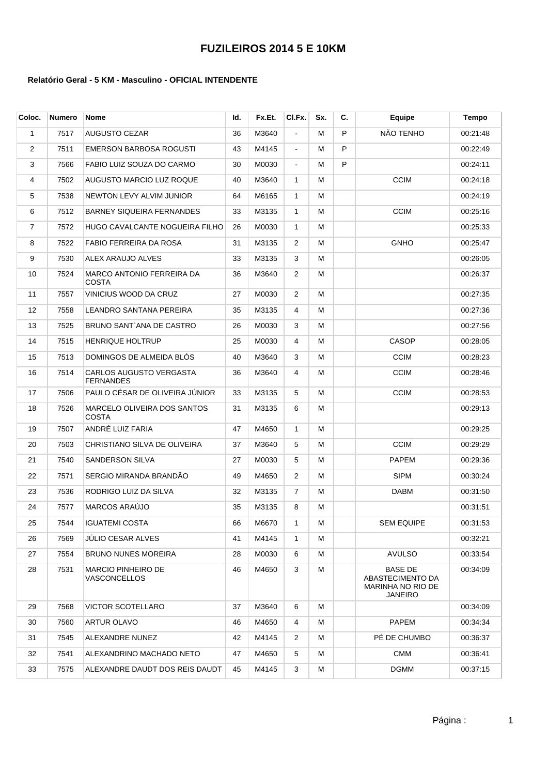## **FUZILEIROS 2014 5 E 10KM**

## **Relatório Geral - 5 KM - Masculino - OFICIAL INTENDENTE**

| Coloc. | <b>Numero</b> | <b>Nome</b>                                 | ld. | Fx.Et. | CI.Fx.         | Sx. | С. | Equipe                                                             | <b>Tempo</b> |
|--------|---------------|---------------------------------------------|-----|--------|----------------|-----|----|--------------------------------------------------------------------|--------------|
| 1      | 7517          | <b>AUGUSTO CEZAR</b>                        | 36  | M3640  | ä,             | м   | P  | NÃO TENHO                                                          | 00:21:48     |
| 2      | 7511          | <b>EMERSON BARBOSA ROGUSTI</b>              | 43  | M4145  | $\blacksquare$ | м   | P  |                                                                    | 00:22:49     |
| 3      | 7566          | FABIO LUIZ SOUZA DO CARMO                   | 30  | M0030  | ÷.             | м   | P  |                                                                    | 00:24:11     |
| 4      | 7502          | AUGUSTO MARCIO LUZ ROQUE                    | 40  | M3640  | $\mathbf{1}$   | м   |    | <b>CCIM</b>                                                        | 00:24:18     |
| 5      | 7538          | NEWTON LEVY ALVIM JUNIOR                    | 64  | M6165  | $\mathbf{1}$   | М   |    |                                                                    | 00:24:19     |
| 6      | 7512          | BARNEY SIQUEIRA FERNANDES                   | 33  | M3135  | $\mathbf{1}$   | М   |    | <b>CCIM</b>                                                        | 00:25:16     |
| 7      | 7572          | HUGO CAVALCANTE NOGUEIRA FILHO              | 26  | M0030  | $\mathbf{1}$   | М   |    |                                                                    | 00:25:33     |
| 8      | 7522          | FABIO FERREIRA DA ROSA                      | 31  | M3135  | 2              | М   |    | <b>GNHO</b>                                                        | 00:25:47     |
| 9      | 7530          | ALEX ARAUJO ALVES                           | 33  | M3135  | 3              | М   |    |                                                                    | 00:26:05     |
| 10     | 7524          | MARCO ANTONIO FERREIRA DA<br>COSTA          | 36  | M3640  | 2              | м   |    |                                                                    | 00:26:37     |
| 11     | 7557          | VINICIUS WOOD DA CRUZ                       | 27  | M0030  | $\overline{2}$ | М   |    |                                                                    | 00:27:35     |
| 12     | 7558          | LEANDRO SANTANA PEREIRA                     | 35  | M3135  | 4              | M   |    |                                                                    | 00:27:36     |
| 13     | 7525          | BRUNO SANT`ANA DE CASTRO                    | 26  | M0030  | 3              | м   |    |                                                                    | 00:27:56     |
| 14     | 7515          | <b>HENRIQUE HOLTRUP</b>                     | 25  | M0030  | 4              | М   |    | <b>CASOP</b>                                                       | 00:28:05     |
| 15     | 7513          | DOMINGOS DE ALMEIDA BLÓS                    | 40  | M3640  | 3              | м   |    | <b>CCIM</b>                                                        | 00:28:23     |
| 16     | 7514          | CARLOS AUGUSTO VERGASTA<br><b>FERNANDES</b> | 36  | M3640  | 4              | М   |    | <b>CCIM</b>                                                        | 00:28:46     |
| 17     | 7506          | PAULO CÉSAR DE OLIVEIRA JÚNIOR              | 33  | M3135  | 5              | М   |    | <b>CCIM</b>                                                        | 00:28:53     |
| 18     | 7526          | MARCELO OLIVEIRA DOS SANTOS<br>COSTA        | 31  | M3135  | 6              | М   |    |                                                                    | 00:29:13     |
| 19     | 7507          | ANDRÉ LUIZ FARIA                            | 47  | M4650  | $\mathbf{1}$   | M   |    |                                                                    | 00:29:25     |
| 20     | 7503          | CHRISTIANO SILVA DE OLIVEIRA                | 37  | M3640  | 5              | М   |    | <b>CCIM</b>                                                        | 00:29:29     |
| 21     | 7540          | SANDERSON SILVA                             | 27  | M0030  | 5              | М   |    | <b>PAPEM</b>                                                       | 00:29:36     |
| 22     | 7571          | SERGIO MIRANDA BRANDÃO                      | 49  | M4650  | 2              | M   |    | <b>SIPM</b>                                                        | 00:30:24     |
| 23     | 7536          | RODRIGO LUIZ DA SILVA                       | 32  | M3135  | $\overline{7}$ | м   |    | <b>DABM</b>                                                        | 00:31:50     |
| 24     | 7577          | MARCOS ARAÚJO                               | 35  | M3135  | 8              | м   |    |                                                                    | 00:31:51     |
| 25     | 7544          | <b>IGUATEMI COSTA</b>                       | 66  | M6670  | 1              | M   |    | <b>SEM EQUIPE</b>                                                  | 00:31:53     |
| 26     | 7569          | JÚLIO CESAR ALVES                           | 41  | M4145  | $\mathbf{1}$   | м   |    |                                                                    | 00:32:21     |
| 27     | 7554          | <b>BRUNO NUNES MOREIRA</b>                  | 28  | M0030  | 6              | м   |    | <b>AVULSO</b>                                                      | 00:33:54     |
| 28     | 7531          | <b>MARCIO PINHEIRO DE</b><br>VASCONCELLOS   | 46  | M4650  | 3              | м   |    | <b>BASE DE</b><br>ABASTECIMENTO DA<br>MARINHA NO RIO DE<br>JANEIRO | 00:34:09     |
| 29     | 7568          | VICTOR SCOTELLARO                           | 37  | M3640  | 6              | м   |    |                                                                    | 00:34:09     |
| 30     | 7560          | ARTUR OLAVO                                 | 46  | M4650  | 4              | м   |    | PAPEM                                                              | 00:34:34     |
| 31     | 7545          | <b>ALEXANDRE NUNEZ</b>                      | 42  | M4145  | $\overline{2}$ | М   |    | PE DE CHUMBO                                                       | 00:36:37     |
| 32     | 7541          | ALEXANDRINO MACHADO NETO                    | 47  | M4650  | 5              | м   |    | <b>CMM</b>                                                         | 00:36:41     |
| 33     | 7575          | ALEXANDRE DAUDT DOS REIS DAUDT              | 45  | M4145  | 3              | М   |    | <b>DGMM</b>                                                        | 00:37:15     |